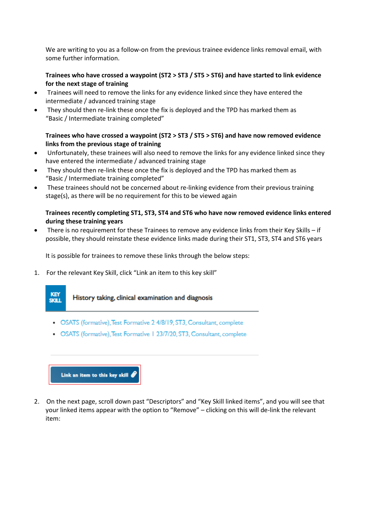We are writing to you as a follow-on from the previous trainee evidence links removal email, with some further information.

## **Trainees who have crossed a waypoint (ST2 > ST3 / ST5 > ST6) and have started to link evidence for the next stage of training**

- Trainees will need to remove the links for any evidence linked since they have entered the intermediate / advanced training stage
- They should then re-link these once the fix is deployed and the TPD has marked them as "Basic / Intermediate training completed"

## **Trainees who have crossed a waypoint (ST2 > ST3 / ST5 > ST6) and have now removed evidence links from the previous stage of training**

- Unfortunately, these trainees will also need to remove the links for any evidence linked since they have entered the intermediate / advanced training stage
- They should then re-link these once the fix is deployed and the TPD has marked them as "Basic / Intermediate training completed"
- These trainees should not be concerned about re-linking evidence from their previous training stage(s), as there will be no requirement for this to be viewed again

## **Trainees recently completing ST1, ST3, ST4 and ST6 who have now removed evidence links entered during these training years**

 There is no requirement for these Trainees to remove any evidence links from their Key Skills – if possible, they should reinstate these evidence links made during their ST1, ST3, ST4 and ST6 years

It is possible for trainees to remove these links through the below steps:

1. For the relevant Key Skill, click "Link an item to this key skill"



- OSATS (formative), Test Formative 2 4/8/19, ST3, Consultant, complete
- OSATS (formative), Test Formative 1 23/7/20, ST3, Consultant, complete



2. On the next page, scroll down past "Descriptors" and "Key Skill linked items", and you will see that your linked items appear with the option to "Remove" – clicking on this will de-link the relevant item: